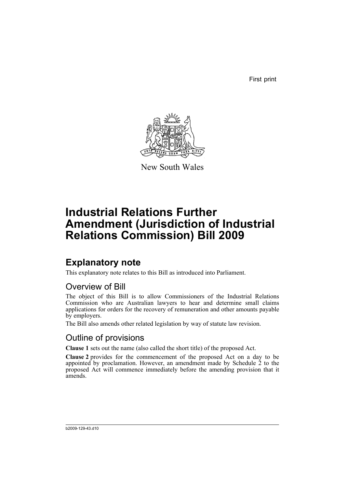First print



New South Wales

# **Industrial Relations Further Amendment (Jurisdiction of Industrial Relations Commission) Bill 2009**

## **Explanatory note**

This explanatory note relates to this Bill as introduced into Parliament.

### Overview of Bill

The object of this Bill is to allow Commissioners of the Industrial Relations Commission who are Australian lawyers to hear and determine small claims applications for orders for the recovery of remuneration and other amounts payable by employers.

The Bill also amends other related legislation by way of statute law revision.

### Outline of provisions

**Clause 1** sets out the name (also called the short title) of the proposed Act.

**Clause 2** provides for the commencement of the proposed Act on a day to be appointed by proclamation. However, an amendment made by Schedule  $\zeta$  to the proposed Act will commence immediately before the amending provision that it amends.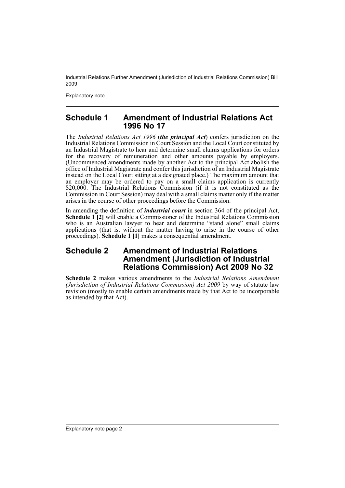Industrial Relations Further Amendment (Jurisdiction of Industrial Relations Commission) Bill 2009

Explanatory note

#### **Schedule 1 Amendment of Industrial Relations Act 1996 No 17**

The *Industrial Relations Act 1996* (*the principal Act*) confers jurisdiction on the Industrial Relations Commission in Court Session and the Local Court constituted by an Industrial Magistrate to hear and determine small claims applications for orders for the recovery of remuneration and other amounts payable by employers. (Uncommenced amendments made by another Act to the principal Act abolish the office of Industrial Magistrate and confer this jurisdiction of an Industrial Magistrate instead on the Local Court sitting at a designated place.) The maximum amount that an employer may be ordered to pay on a small claims application is currently \$20,000. The Industrial Relations Commission (if it is not constituted as the Commission in Court Session) may deal with a small claims matter only if the matter arises in the course of other proceedings before the Commission.

In amending the definition of *industrial court* in section 364 of the principal Act, **Schedule 1 [2]** will enable a Commissioner of the Industrial Relations Commission who is an Australian lawyer to hear and determine "stand alone" small claims applications (that is, without the matter having to arise in the course of other proceedings). **Schedule 1 [1]** makes a consequential amendment.

#### **Schedule 2 Amendment of Industrial Relations Amendment (Jurisdiction of Industrial Relations Commission) Act 2009 No 32**

**Schedule 2** makes various amendments to the *Industrial Relations Amendment (Jurisdiction of Industrial Relations Commission) Act 2009* by way of statute law revision (mostly to enable certain amendments made by that Act to be incorporable as intended by that Act).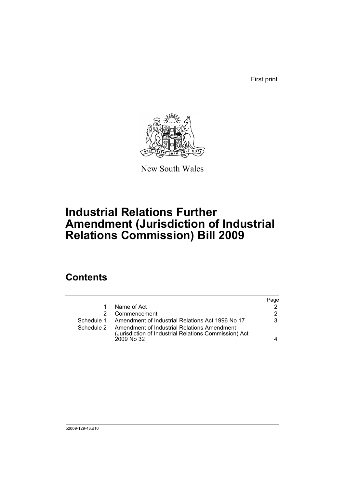First print



New South Wales

# **Industrial Relations Further Amendment (Jurisdiction of Industrial Relations Commission) Bill 2009**

## **Contents**

|            |                                                                                                      | Page |
|------------|------------------------------------------------------------------------------------------------------|------|
|            | Name of Act                                                                                          |      |
|            | Commencement                                                                                         | 2    |
|            | Schedule 1 Amendment of Industrial Relations Act 1996 No 17                                          | 3    |
| Schedule 2 | Amendment of Industrial Relations Amendment<br>(Jurisdiction of Industrial Relations Commission) Act |      |
|            | 2009 No 32                                                                                           |      |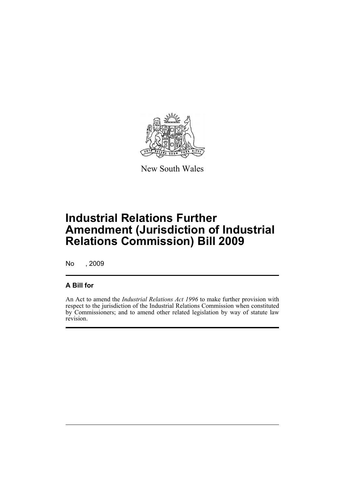

New South Wales

# **Industrial Relations Further Amendment (Jurisdiction of Industrial Relations Commission) Bill 2009**

No , 2009

#### **A Bill for**

An Act to amend the *Industrial Relations Act 1996* to make further provision with respect to the jurisdiction of the Industrial Relations Commission when constituted by Commissioners; and to amend other related legislation by way of statute law revision.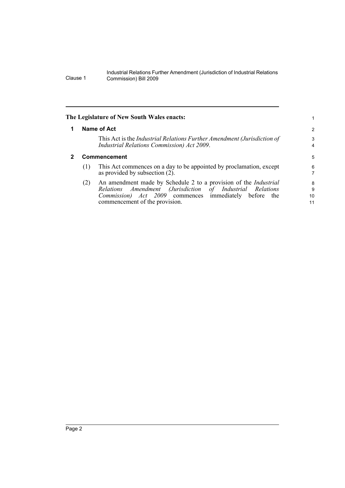Industrial Relations Further Amendment (Jurisdiction of Industrial Relations Clause 1 Commission) Bill 2009

<span id="page-5-1"></span><span id="page-5-0"></span>

|     |                                                                                                                                                                                           | 2                                                                         |
|-----|-------------------------------------------------------------------------------------------------------------------------------------------------------------------------------------------|---------------------------------------------------------------------------|
|     | This Act is the Industrial Relations Further Amendment (Jurisdiction of<br>Industrial Relations Commission) Act 2009.                                                                     | 3<br>4                                                                    |
|     |                                                                                                                                                                                           | 5                                                                         |
| (1) | This Act commences on a day to be appointed by proclamation, except<br>as provided by subsection (2).                                                                                     | 6<br>7                                                                    |
| (2) | An amendment made by Schedule 2 to a provision of the Industrial<br>Relations Amendment (Jurisdiction of Industrial Relations<br>Commission) Act 2009 commences immediately before<br>the | 8<br>9<br>10                                                              |
|     |                                                                                                                                                                                           | The Legislature of New South Wales enacts:<br>Name of Act<br>Commencement |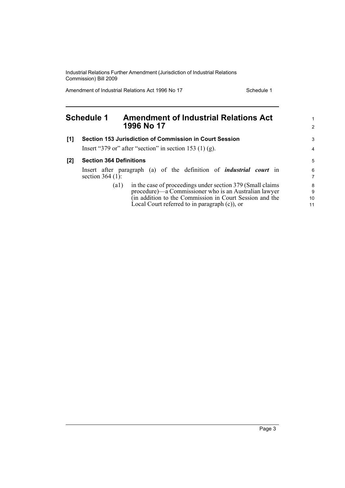Industrial Relations Further Amendment (Jurisdiction of Industrial Relations Commission) Bill 2009

Amendment of Industrial Relations Act 1996 No 17 Schedule 1

<span id="page-6-0"></span>

| <b>Schedule 1</b> |                                | <b>Amendment of Industrial Relations Act</b><br>1996 No 17                 |                                  |
|-------------------|--------------------------------|----------------------------------------------------------------------------|----------------------------------|
| [1]               |                                | Section 153 Jurisdiction of Commission in Court Session                    | 3                                |
|                   |                                | Insert "379 or" after "section" in section 153 (1) (g).                    | $\overline{4}$                   |
| $[2]$             | <b>Section 364 Definitions</b> |                                                                            | 5                                |
|                   | section $364$ (1):             | Insert after paragraph (a) of the definition of <i>industrial court</i> in | $6\phantom{a}$<br>$\overline{7}$ |
|                   |                                | in the case of proceedings under section 379 (Small claims)<br>(al)        | 8                                |
|                   |                                | procedure)—a Commissioner who is an Australian lawyer                      | 9                                |
|                   |                                | (in addition to the Commission in Court Session and the                    | 10                               |
|                   |                                | Local Court referred to in paragraph $(c)$ , or                            | 11                               |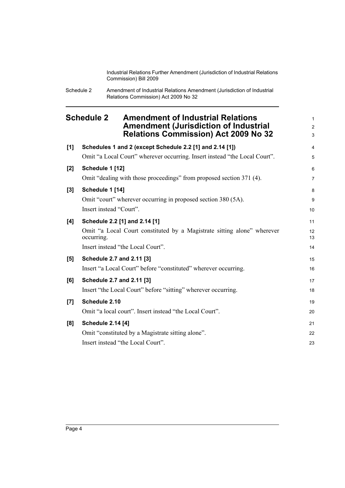Industrial Relations Further Amendment (Jurisdiction of Industrial Relations Commission) Bill 2009

| Schedule 2 | Amendment of Industrial Relations Amendment (Jurisdiction of Industrial |
|------------|-------------------------------------------------------------------------|
|            | Relations Commission) Act 2009 No 32                                    |

<span id="page-7-0"></span>

|       | <b>Schedule 2</b><br><b>Amendment of Industrial Relations</b><br><b>Amendment (Jurisdiction of Industrial</b><br><b>Relations Commission) Act 2009 No 32</b> |                |
|-------|--------------------------------------------------------------------------------------------------------------------------------------------------------------|----------------|
| [1]   | Schedules 1 and 2 (except Schedule 2.2 [1] and 2.14 [1])                                                                                                     | $\overline{4}$ |
|       | Omit "a Local Court" wherever occurring. Insert instead "the Local Court".                                                                                   | 5              |
| [2]   | Schedule 1 [12]                                                                                                                                              | 6              |
|       | Omit "dealing with those proceedings" from proposed section 371 (4).                                                                                         | $\overline{7}$ |
| $[3]$ | Schedule 1 [14]                                                                                                                                              | 8              |
|       | Omit "court" wherever occurring in proposed section 380 (5A).                                                                                                | 9              |
|       | Insert instead "Court".                                                                                                                                      | 10             |
| [4]   | Schedule 2.2 [1] and 2.14 [1]                                                                                                                                | 11             |
|       | Omit "a Local Court constituted by a Magistrate sitting alone" wherever<br>occurring.                                                                        | 12<br>13       |
|       | Insert instead "the Local Court".                                                                                                                            | 14             |
| [5]   | Schedule 2.7 and 2.11 [3]                                                                                                                                    | 15             |
|       | Insert "a Local Court" before "constituted" wherever occurring.                                                                                              | 16             |
| [6]   | Schedule 2.7 and 2.11 [3]                                                                                                                                    | 17             |
|       | Insert "the Local Court" before "sitting" wherever occurring.                                                                                                | 18             |
| [7]   | Schedule 2.10                                                                                                                                                | 19             |
|       | Omit "a local court". Insert instead "the Local Court".                                                                                                      | 20             |
| [8]   | <b>Schedule 2.14 [4]</b>                                                                                                                                     | 21             |
|       | Omit "constituted by a Magistrate sitting alone".                                                                                                            | 22             |
|       | Insert instead "the Local Court".                                                                                                                            | 23             |